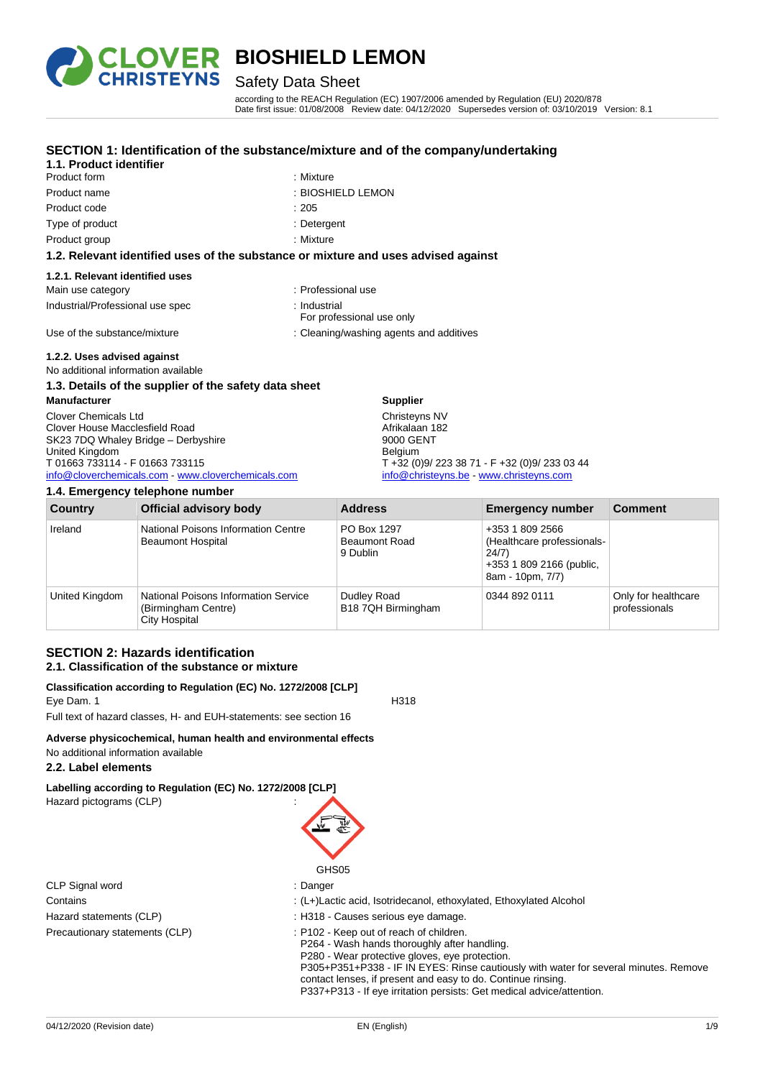

# Safety Data Sheet

**SECTION 1: Identification of the substance/mixture and of the company/undertaking**

according to the REACH Regulation (EC) 1907/2006 amended by Regulation (EU) 2020/878 Date first issue: 01/08/2008 Review date: 04/12/2020 Supersedes version of: 03/10/2019 Version: 8.1

| Product name                                           | : BIOSHIELD LEMON                                                                  |
|--------------------------------------------------------|------------------------------------------------------------------------------------|
| Product code                                           | :205                                                                               |
| Type of product                                        | : Detergent                                                                        |
| Product group                                          | : Mixture                                                                          |
|                                                        | 1.2. Relevant identified uses of the substance or mixture and uses advised against |
| 1.2.1. Relevant identified uses                        |                                                                                    |
| Main use category                                      | : Professional use                                                                 |
| Industrial/Professional use spec                       | : Industrial<br>For professional use only                                          |
| Use of the substance/mixture                           | : Cleaning/washing agents and additives                                            |
| 1.2.2. Uses advised against                            |                                                                                    |
| No additional information available                    |                                                                                    |
| 1.3. Details of the supplier of the safety data sheet  |                                                                                    |
| <b>Manufacturer</b>                                    | <b>Supplier</b>                                                                    |
| Clover Chemicals Ltd<br>Clover House Macclesfield Road | Christeyns NV<br>Afrikalaan 182                                                    |
|                                                        |                                                                                    |

**1.1. Product identifier**

| SK23 7DQ Whaley Bridge - Derbyshire                |
|----------------------------------------------------|
| United Kingdom                                     |
| T 01663 733114 - F 01663 733115                    |
| info@cloverchemicals.com - www.cloverchemicals.com |

Product form : Nixture : Mixture

### **1.4. Emergency telephone number**

| <b>Country</b> | <b>Official advisory body</b>                                                       | <b>Address</b>                                  | <b>Emergency number</b>                                                                                | <b>Comment</b>                       |
|----------------|-------------------------------------------------------------------------------------|-------------------------------------------------|--------------------------------------------------------------------------------------------------------|--------------------------------------|
| Ireland        | National Poisons Information Centre<br><b>Beaumont Hospital</b>                     | PO Box 1297<br><b>Beaumont Road</b><br>9 Dublin | +353 1 809 2566<br>(Healthcare professionals-<br>24/7)<br>+353 1 809 2166 (public,<br>8am - 10pm, 7/7) |                                      |
| United Kingdom | <b>National Poisons Information Service</b><br>(Birmingham Centre)<br>City Hospital | Dudley Road<br>B18 7QH Birmingham               | 0344 892 0111                                                                                          | Only for healthcare<br>professionals |

9000 GENT Belgium

T +32 (0)9/ 223 38 71 - F +32 (0)9/ 233 03 44 [info@christeyns.be](mailto:info@christeyns.be) - [www.christeyns.com](http://www.christeyns.com/)

### **SECTION 2: Hazards identification 2.1. Classification of the substance or mixture**

#### **Classification according to Regulation (EC) No. 1272/2008 [CLP]** Eye Dam. 1 H318

Full text of hazard classes, H- and EUH-statements: see section 16

# **Adverse physicochemical, human health and environmental effects**

# No additional information available

### **2.2. Label elements**

**Labelling according to Regulation (EC) No. 1272/2008 [CLP]** Hazard pictograms (CLP) :

| CLP Signal word                |
|--------------------------------|
| Contains                       |
| Hazard statements (CLP)        |
| Precautionary statements (CLP) |

### : H318 - Causes serious eye damage. : P102 - Keep out of reach of children. P264 - Wash hands thoroughly after handling. P280 - Wear protective gloves, eye protection. P305+P351+P338 - IF IN EYES: Rinse cautiously with water for several minutes. Remove contact lenses, if present and easy to do. Continue rinsing. P337+P313 - If eye irritation persists: Get medical advice/attention.

: (L+)Lactic acid, Isotridecanol, ethoxylated, Ethoxylated Alcohol

GHS05 : Danger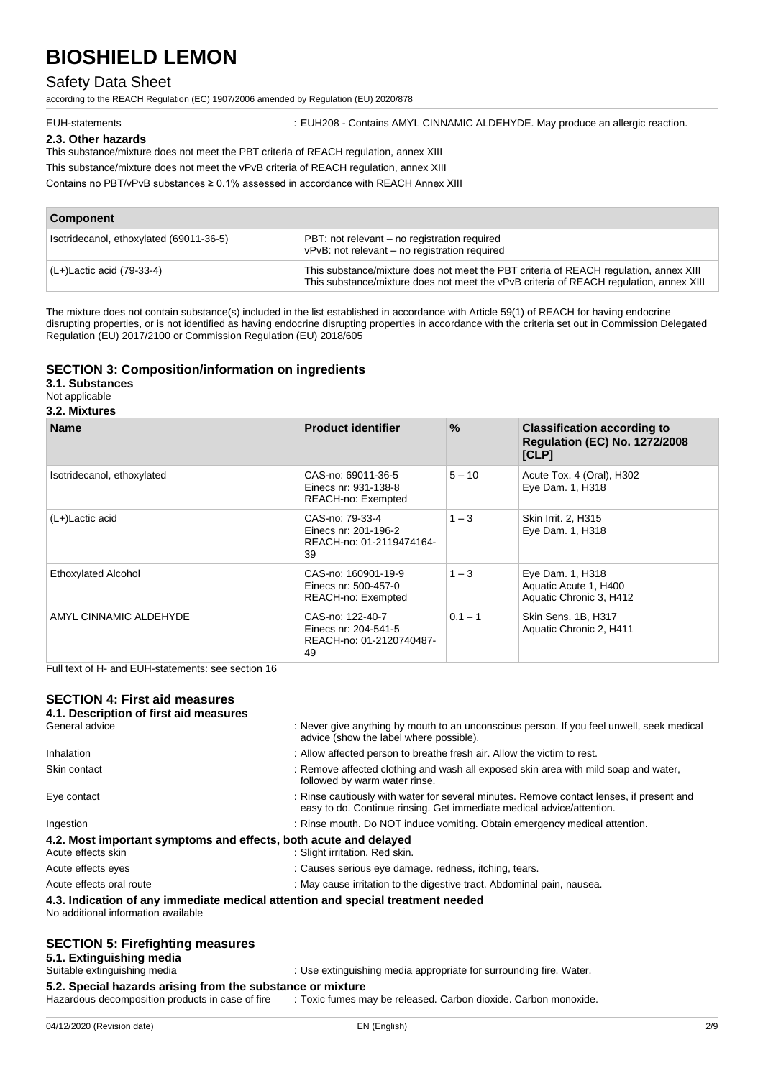# Safety Data Sheet

according to the REACH Regulation (EC) 1907/2006 amended by Regulation (EU) 2020/878

EUH-statements : EUH208 - Contains AMYL CINNAMIC ALDEHYDE. May produce an allergic reaction.

### **2.3. Other hazards**

This substance/mixture does not meet the PBT criteria of REACH regulation, annex XIII

This substance/mixture does not meet the vPvB criteria of REACH regulation, annex XIII

Contains no PBT/vPvB substances ≥ 0.1% assessed in accordance with REACH Annex XIII

| <b>Component</b>                        |                                                                                                                                                                                 |  |
|-----------------------------------------|---------------------------------------------------------------------------------------------------------------------------------------------------------------------------------|--|
| Isotridecanol, ethoxylated (69011-36-5) | PBT: not relevant - no registration required<br>vPvB: not relevant - no registration required                                                                                   |  |
| (L+)Lactic acid (79-33-4)               | This substance/mixture does not meet the PBT criteria of REACH regulation, annex XIII<br>This substance/mixture does not meet the vPvB criteria of REACH regulation, annex XIII |  |

The mixture does not contain substance(s) included in the list established in accordance with Article 59(1) of REACH for having endocrine disrupting properties, or is not identified as having endocrine disrupting properties in accordance with the criteria set out in Commission Delegated Regulation (EU) 2017/2100 or Commission Regulation (EU) 2018/605

### **SECTION 3: Composition/information on ingredients**

**3.1. Substances**

Not applicable

**3.2. Mixtures**

| <b>Name</b>                | <b>Product identifier</b>                                                  | $\%$      | <b>Classification according to</b><br><b>Regulation (EC) No. 1272/2008</b><br>[CLP] |
|----------------------------|----------------------------------------------------------------------------|-----------|-------------------------------------------------------------------------------------|
| Isotridecanol, ethoxylated | CAS-no: 69011-36-5<br>Einecs nr: 931-138-8<br>REACH-no: Exempted           | $5 - 10$  | Acute Tox. 4 (Oral), H302<br>Eye Dam. 1, H318                                       |
| (L+)Lactic acid            | CAS-no: 79-33-4<br>Einecs nr: 201-196-2<br>REACH-no: 01-2119474164-<br>39  | $1 - 3$   | Skin Irrit. 2, H315<br>Eye Dam. 1, H318                                             |
| Ethoxylated Alcohol        | CAS-no: 160901-19-9<br>Einecs nr: 500-457-0<br>REACH-no: Exempted          | $1 - 3$   | Eye Dam. 1, H318<br>Aquatic Acute 1, H400<br>Aquatic Chronic 3, H412                |
| AMYL CINNAMIC ALDEHYDE     | CAS-no: 122-40-7<br>Einecs nr: 204-541-5<br>REACH-no: 01-2120740487-<br>49 | $0.1 - 1$ | Skin Sens. 1B, H317<br>Aquatic Chronic 2, H411                                      |

Full text of H- and EUH-statements: see section 16

# **SECTION 4: First aid measures**

| 04/12/2020 (Revision date)                                                                                             | EN (English)                                                                                                                                                      | 2/9 |  |  |
|------------------------------------------------------------------------------------------------------------------------|-------------------------------------------------------------------------------------------------------------------------------------------------------------------|-----|--|--|
| 5.2. Special hazards arising from the substance or mixture<br>Hazardous decomposition products in case of fire         | : Toxic fumes may be released. Carbon dioxide. Carbon monoxide.                                                                                                   |     |  |  |
| Suitable extinguishing media                                                                                           | : Use extinguishing media appropriate for surrounding fire. Water.                                                                                                |     |  |  |
| <b>SECTION 5: Firefighting measures</b><br>5.1. Extinguishing media                                                    |                                                                                                                                                                   |     |  |  |
| 4.3. Indication of any immediate medical attention and special treatment needed<br>No additional information available |                                                                                                                                                                   |     |  |  |
| Acute effects oral route                                                                                               | : May cause irritation to the digestive tract. Abdominal pain, nausea.                                                                                            |     |  |  |
| Acute effects eyes                                                                                                     | : Causes serious eye damage. redness, itching, tears.                                                                                                             |     |  |  |
| 4.2. Most important symptoms and effects, both acute and delayed<br>Acute effects skin                                 | : Slight irritation. Red skin.                                                                                                                                    |     |  |  |
| Ingestion                                                                                                              | : Rinse mouth. Do NOT induce vomiting. Obtain emergency medical attention.                                                                                        |     |  |  |
| Eye contact                                                                                                            | : Rinse cautiously with water for several minutes. Remove contact lenses, if present and<br>easy to do. Continue rinsing. Get immediate medical advice/attention. |     |  |  |
| Skin contact                                                                                                           | : Remove affected clothing and wash all exposed skin area with mild soap and water,<br>followed by warm water rinse.                                              |     |  |  |
| Inhalation                                                                                                             | : Allow affected person to breathe fresh air. Allow the victim to rest.                                                                                           |     |  |  |
| General advice                                                                                                         | : Never give anything by mouth to an unconscious person. If you feel unwell, seek medical<br>advice (show the label where possible).                              |     |  |  |
| 4.1. Description of first aid measures                                                                                 |                                                                                                                                                                   |     |  |  |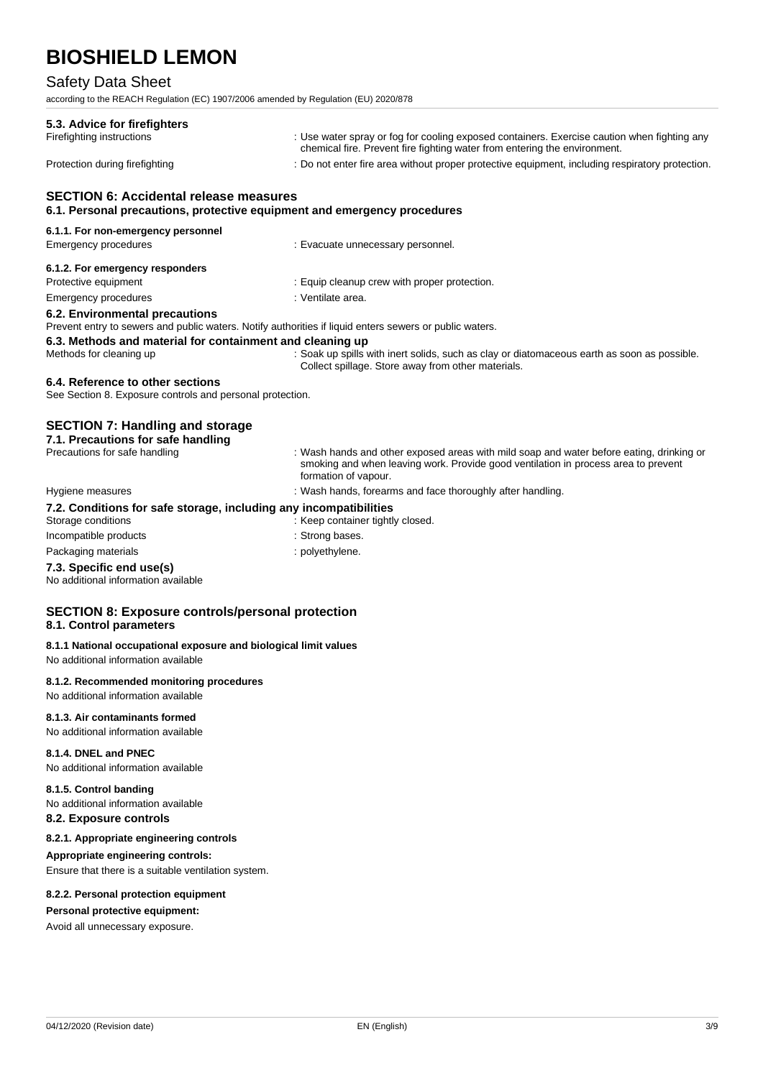## Safety Data Sheet

according to the REACH Regulation (EC) 1907/2006 amended by Regulation (EU) 2020/878

| 5.3. Advice for firefighters                                                                                                              |                                                                                                                                                                                                        |
|-------------------------------------------------------------------------------------------------------------------------------------------|--------------------------------------------------------------------------------------------------------------------------------------------------------------------------------------------------------|
| Firefighting instructions                                                                                                                 | : Use water spray or fog for cooling exposed containers. Exercise caution when fighting any<br>chemical fire. Prevent fire fighting water from entering the environment.                               |
| Protection during firefighting                                                                                                            | : Do not enter fire area without proper protective equipment, including respiratory protection.                                                                                                        |
| <b>SECTION 6: Accidental release measures</b><br>6.1. Personal precautions, protective equipment and emergency procedures                 |                                                                                                                                                                                                        |
| 6.1.1. For non-emergency personnel                                                                                                        |                                                                                                                                                                                                        |
| Emergency procedures                                                                                                                      | : Evacuate unnecessary personnel.                                                                                                                                                                      |
| 6.1.2. For emergency responders                                                                                                           |                                                                                                                                                                                                        |
| Protective equipment                                                                                                                      | : Equip cleanup crew with proper protection.                                                                                                                                                           |
| <b>Emergency procedures</b>                                                                                                               | : Ventilate area.                                                                                                                                                                                      |
| 6.2. Environmental precautions<br>Prevent entry to sewers and public waters. Notify authorities if liquid enters sewers or public waters. |                                                                                                                                                                                                        |
| 6.3. Methods and material for containment and cleaning up                                                                                 |                                                                                                                                                                                                        |
| Methods for cleaning up                                                                                                                   | : Soak up spills with inert solids, such as clay or diatomaceous earth as soon as possible.<br>Collect spillage. Store away from other materials.                                                      |
| 6.4. Reference to other sections<br>See Section 8. Exposure controls and personal protection.                                             |                                                                                                                                                                                                        |
| <b>SECTION 7: Handling and storage</b><br>7.1. Precautions for safe handling                                                              |                                                                                                                                                                                                        |
| Precautions for safe handling                                                                                                             | : Wash hands and other exposed areas with mild soap and water before eating, drinking or<br>smoking and when leaving work. Provide good ventilation in process area to prevent<br>formation of vapour. |
| Hygiene measures                                                                                                                          | : Wash hands, forearms and face thoroughly after handling.                                                                                                                                             |
| 7.2. Conditions for safe storage, including any incompatibilities<br>Storage conditions                                                   | : Keep container tightly closed.                                                                                                                                                                       |
| Incompatible products                                                                                                                     | : Strong bases.                                                                                                                                                                                        |
| Packaging materials                                                                                                                       | : polyethylene.                                                                                                                                                                                        |
| 7.3. Specific end use(s)<br>No additional information available                                                                           |                                                                                                                                                                                                        |

### **SECTION 8: Exposure controls/personal protection 8.1. Control parameters**

### **8.1.1 National occupational exposure and biological limit values**

No additional information available

### **8.1.2. Recommended monitoring procedures**

No additional information available

### **8.1.3. Air contaminants formed**

No additional information available

### **8.1.4. DNEL and PNEC**

No additional information available

### **8.1.5. Control banding**

No additional information available

### **8.2. Exposure controls**

# **8.2.1. Appropriate engineering controls**

**Appropriate engineering controls:**

Ensure that there is a suitable ventilation system.

#### **8.2.2. Personal protection equipment**

### **Personal protective equipment:**

Avoid all unnecessary exposure.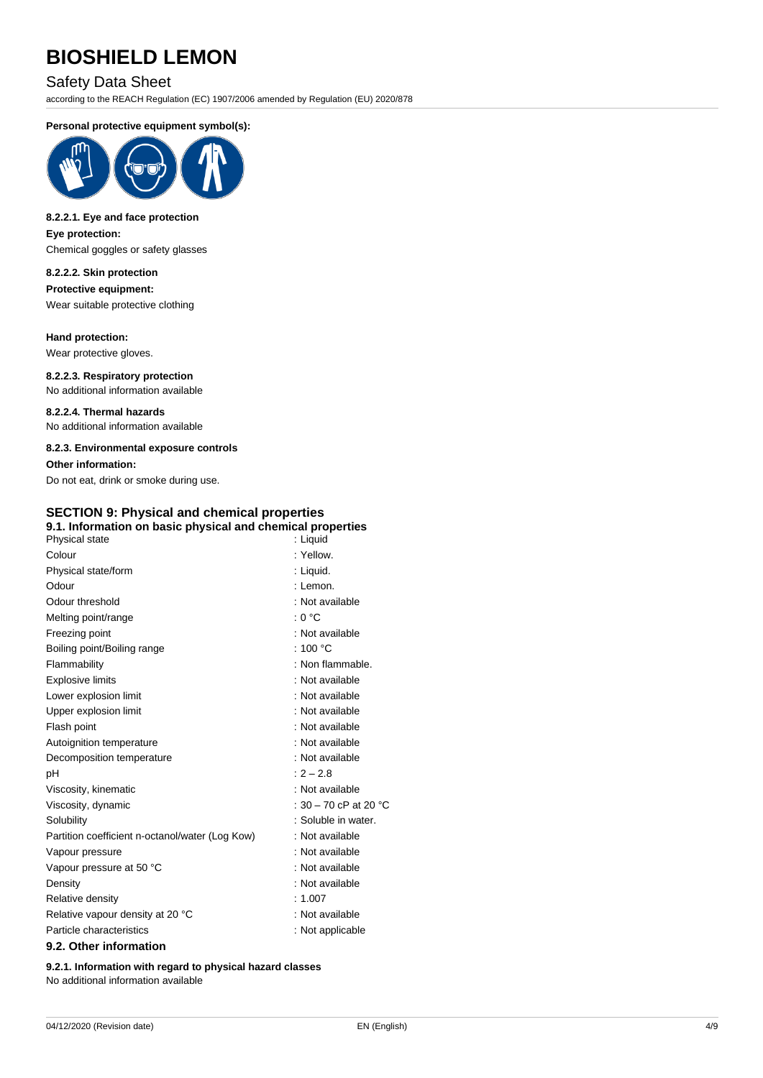# Safety Data Sheet

according to the REACH Regulation (EC) 1907/2006 amended by Regulation (EU) 2020/878

### **Personal protective equipment symbol(s):**



### **8.2.2.1. Eye and face protection Eye protection:**

Chemical goggles or safety glasses

### **8.2.2.2. Skin protection**

**Protective equipment:** Wear suitable protective clothing

### **Hand protection:**

Wear protective gloves.

**8.2.2.3. Respiratory protection** No additional information available

**8.2.2.4. Thermal hazards** No additional information available

#### **8.2.3. Environmental exposure controls**

**Other information:**

## Do not eat, drink or smoke during use. **SECTION 9: Physical and chemical properties 9.1. Information on basic physical and chemical properties** Physical state Colour : Yellow. Physical state/form : Liquid. Odour : Lemon. Odour threshold in the state of the state of the state of the state of the state of the state of the state of the state of the state of the state of the state of the state of the state of the state of the state of the stat Melting point/range  $\blacksquare$  : 0 °C Freezing point **in the case of the case of the case of the case of the case of the case of the case of the case of the case of the case of the case of the case of the case of the case of the case of the case of the case of** Boiling point/Boiling range : 100 °C Flammability **in the contract of the Contract Contract Contract Contract Contract Contract Contract Contract Contract Contract Contract Contract Contract Contract Contract Contract Contract Contract Contract Contract Contr** Explosive limits **Explosive Limits** : Not available Lower explosion limit in the state of the state of the state of the state of the state of the state of the state of the state of the state of the state of the state of the state of the state of the state of the state of th Upper explosion limit in the state of the state of the SN of available Flash point **in the case of the case of the case of the case of the case of the case of the case of the case of the case of the case of the case of the case of the case of the case of the case of the case of the case of th** Autoignition temperature **interest and the COV** : Not available Decomposition temperature **interest and the COV**: Not available pH : 2 – 2.8 Viscosity, kinematic intervals and the set of the SN of available in Not available Viscosity, dynamic  $\therefore 30 - 70$  cP at 20 °C Solubility : Soluble in water. Partition coefficient n-octanol/water (Log Kow) : Not available Vapour pressure in the set of the set of the set of the set of the set of the set of the set of the set of the set of the set of the set of the set of the set of the set of the set of the set of the set of the set of the s Vapour pressure at 50 °C is a control of the set of the Vapour pressure at 50 °C Density **Density** : Not available Relative density in the set of the set of the set of the set of the set of the set of the set of the set of the set of the set of the set of the set of the set of the set of the set of the set of the set of the set of the Relative vapour density at 20 °C : Not available Particle characteristics **in the contract of the CO** in the Mot applicable **9.2. Other information**

### **9.2.1. Information with regard to physical hazard classes** No additional information available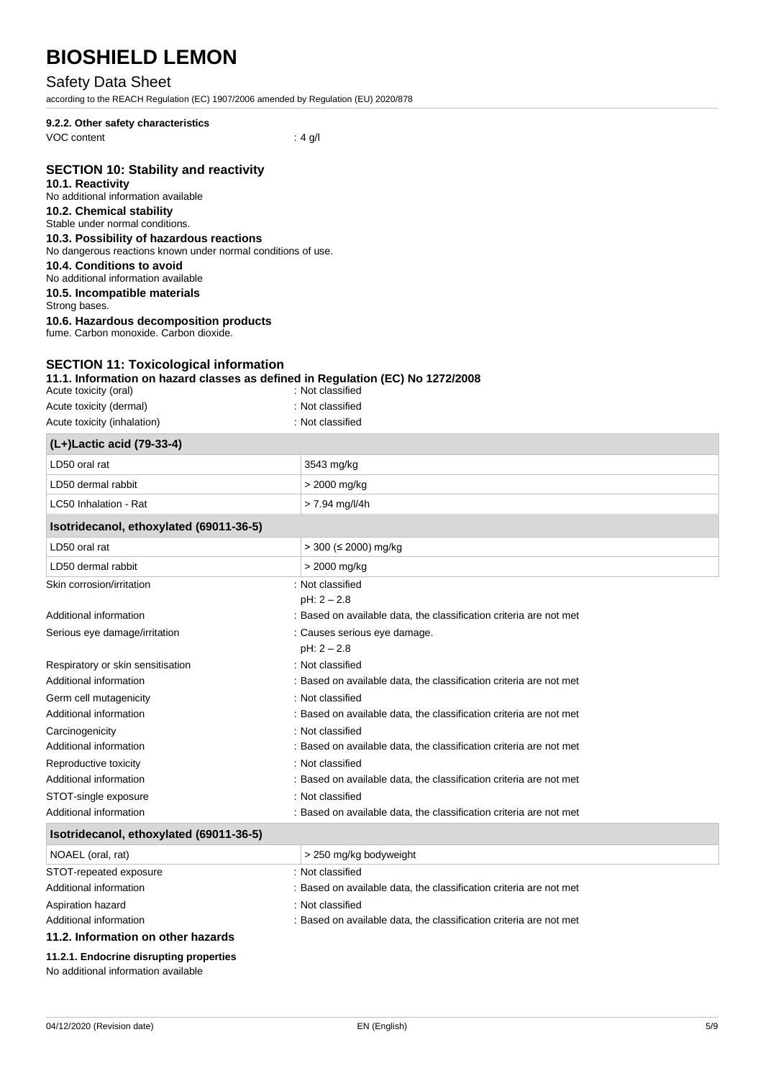### Safety Data Sheet

according to the REACH Regulation (EC) 1907/2006 amended by Regulation (EU) 2020/878

### **9.2.2. Other safety characteristics** VOC content : 4 g/l

### **SECTION 10: Stability and reactivity**

### **10.1. Reactivity**

No additional information available

## **10.2. Chemical stability**

# Stable under normal conditions.

**10.3. Possibility of hazardous reactions** No dangerous reactions known under normal conditions of use.

# **10.4. Conditions to avoid**

No additional information available

**10.5. Incompatible materials**

# Strong bases.

**10.6. Hazardous decomposition products**

fume. Carbon monoxide. Carbon dioxide.

# **SECTION 11: Toxicological information**

### **11.1. Information on hazard classes as defined in Regulation (EC) No 1272/2008**

| Acute toxicity (oral)       | : Not classified |
|-----------------------------|------------------|
| Acute toxicity (dermal)     | : Not classified |
| Acute toxicity (inhalation) | : Not classified |

| (L+)Lactic acid (79-33-4)               |                                                                    |
|-----------------------------------------|--------------------------------------------------------------------|
| LD50 oral rat                           | 3543 mg/kg                                                         |
| LD50 dermal rabbit                      | > 2000 mg/kg                                                       |
| LC50 Inhalation - Rat                   | $> 7.94$ mg/l/4h                                                   |
| Isotridecanol, ethoxylated (69011-36-5) |                                                                    |
| LD50 oral rat                           | $>$ 300 ( $\leq$ 2000) mg/kg                                       |
| LD50 dermal rabbit                      | > 2000 mg/kg                                                       |
| Skin corrosion/irritation               | : Not classified                                                   |
|                                         | $pH: 2 - 2.8$                                                      |
| Additional information                  | : Based on available data, the classification criteria are not met |
| Serious eye damage/irritation           | : Causes serious eye damage.                                       |
|                                         | $pH: 2 - 2.8$                                                      |
| Respiratory or skin sensitisation       | : Not classified                                                   |
| Additional information                  | : Based on available data, the classification criteria are not met |
| Germ cell mutagenicity                  | : Not classified                                                   |
| Additional information                  | : Based on available data, the classification criteria are not met |
| Carcinogenicity                         | : Not classified                                                   |
| Additional information                  | : Based on available data, the classification criteria are not met |
| Reproductive toxicity                   | : Not classified                                                   |
| Additional information                  | : Based on available data, the classification criteria are not met |
| STOT-single exposure                    | : Not classified                                                   |
| Additional information                  | : Based on available data, the classification criteria are not met |
| Isotridecanol, ethoxylated (69011-36-5) |                                                                    |
|                                         |                                                                    |

| NOAEL (oral, rat)                  | > 250 mg/kg bodyweight                                             |  |
|------------------------------------|--------------------------------------------------------------------|--|
| STOT-repeated exposure             | : Not classified                                                   |  |
| Additional information             | : Based on available data, the classification criteria are not met |  |
| Aspiration hazard                  | : Not classified                                                   |  |
| Additional information             | : Based on available data, the classification criteria are not met |  |
| 11.2. Information on other hazards |                                                                    |  |

### **11.2.1. Endocrine disrupting properties**

No additional information available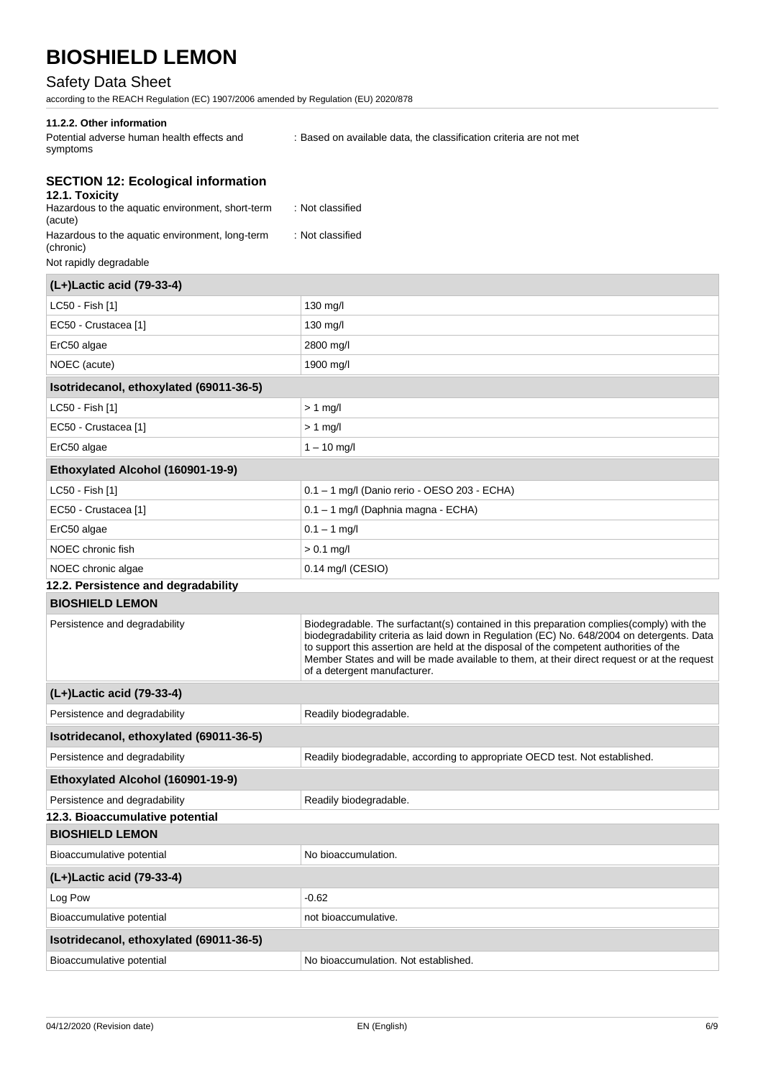# Safety Data Sheet

according to the REACH Regulation (EC) 1907/2006 amended by Regulation (EU) 2020/878

### **11.2.2. Other information**

| Potential adverse human health effects and | : Based on available data, the classification criteria are not met |  |
|--------------------------------------------|--------------------------------------------------------------------|--|
| symptoms                                   |                                                                    |  |

# **SECTION 12: Ecological information**

| 12.1. Toxicity<br>Hazardous to the aquatic environment, short-term<br>(acute) | : Not classified                                                                                                                                                                                                                                                                                                                                                                                                |
|-------------------------------------------------------------------------------|-----------------------------------------------------------------------------------------------------------------------------------------------------------------------------------------------------------------------------------------------------------------------------------------------------------------------------------------------------------------------------------------------------------------|
| Hazardous to the aquatic environment, long-term<br>(chronic)                  | : Not classified                                                                                                                                                                                                                                                                                                                                                                                                |
| Not rapidly degradable                                                        |                                                                                                                                                                                                                                                                                                                                                                                                                 |
| (L+)Lactic acid (79-33-4)                                                     |                                                                                                                                                                                                                                                                                                                                                                                                                 |
| LC50 - Fish [1]                                                               | 130 mg/l                                                                                                                                                                                                                                                                                                                                                                                                        |
| EC50 - Crustacea [1]                                                          | $130$ mg/l                                                                                                                                                                                                                                                                                                                                                                                                      |
| ErC50 algae                                                                   | 2800 mg/l                                                                                                                                                                                                                                                                                                                                                                                                       |
| NOEC (acute)                                                                  | 1900 mg/l                                                                                                                                                                                                                                                                                                                                                                                                       |
| Isotridecanol, ethoxylated (69011-36-5)                                       |                                                                                                                                                                                                                                                                                                                                                                                                                 |
| LC50 - Fish [1]                                                               | $> 1$ mg/l                                                                                                                                                                                                                                                                                                                                                                                                      |
| EC50 - Crustacea [1]                                                          | $> 1$ mg/l                                                                                                                                                                                                                                                                                                                                                                                                      |
| ErC50 algae                                                                   | $1 - 10$ mg/l                                                                                                                                                                                                                                                                                                                                                                                                   |
| Ethoxylated Alcohol (160901-19-9)                                             |                                                                                                                                                                                                                                                                                                                                                                                                                 |
| LC50 - Fish [1]                                                               | 0.1 - 1 mg/l (Danio rerio - OESO 203 - ECHA)                                                                                                                                                                                                                                                                                                                                                                    |
| EC50 - Crustacea [1]                                                          | 0.1 - 1 mg/l (Daphnia magna - ECHA)                                                                                                                                                                                                                                                                                                                                                                             |
| ErC50 algae                                                                   | $0.1 - 1$ mg/l                                                                                                                                                                                                                                                                                                                                                                                                  |
| NOEC chronic fish                                                             | $> 0.1$ mg/l                                                                                                                                                                                                                                                                                                                                                                                                    |
| NOEC chronic algae                                                            | 0.14 mg/l (CESIO)                                                                                                                                                                                                                                                                                                                                                                                               |
| 12.2. Persistence and degradability                                           |                                                                                                                                                                                                                                                                                                                                                                                                                 |
| <b>BIOSHIELD LEMON</b>                                                        |                                                                                                                                                                                                                                                                                                                                                                                                                 |
| Persistence and degradability                                                 | Biodegradable. The surfactant(s) contained in this preparation complies(comply) with the<br>biodegradability criteria as laid down in Regulation (EC) No. 648/2004 on detergents. Data<br>to support this assertion are held at the disposal of the competent authorities of the<br>Member States and will be made available to them, at their direct request or at the request<br>of a detergent manufacturer. |
| (L+)Lactic acid (79-33-4)                                                     |                                                                                                                                                                                                                                                                                                                                                                                                                 |
| Persistence and degradability                                                 | Readily biodegradable.                                                                                                                                                                                                                                                                                                                                                                                          |
| Isotridecanol, ethoxylated (69011-36-5)                                       |                                                                                                                                                                                                                                                                                                                                                                                                                 |
| Persistence and degradability                                                 | Readily biodegradable, according to appropriate OECD test. Not established.                                                                                                                                                                                                                                                                                                                                     |
| Ethoxylated Alcohol (160901-19-9)                                             |                                                                                                                                                                                                                                                                                                                                                                                                                 |
| Persistence and degradability                                                 | Readily biodegradable.                                                                                                                                                                                                                                                                                                                                                                                          |
| 12.3. Bioaccumulative potential                                               |                                                                                                                                                                                                                                                                                                                                                                                                                 |
| <b>BIOSHIELD LEMON</b>                                                        |                                                                                                                                                                                                                                                                                                                                                                                                                 |
| Bioaccumulative potential                                                     | No bioaccumulation.                                                                                                                                                                                                                                                                                                                                                                                             |
| (L+)Lactic acid (79-33-4)                                                     |                                                                                                                                                                                                                                                                                                                                                                                                                 |
| Log Pow                                                                       | $-0.62$                                                                                                                                                                                                                                                                                                                                                                                                         |
| Bioaccumulative potential                                                     | not bioaccumulative.                                                                                                                                                                                                                                                                                                                                                                                            |

**Isotridecanol, ethoxylated (69011-36-5)**

Bioaccumulative potential **No bioaccumulation**. Not established.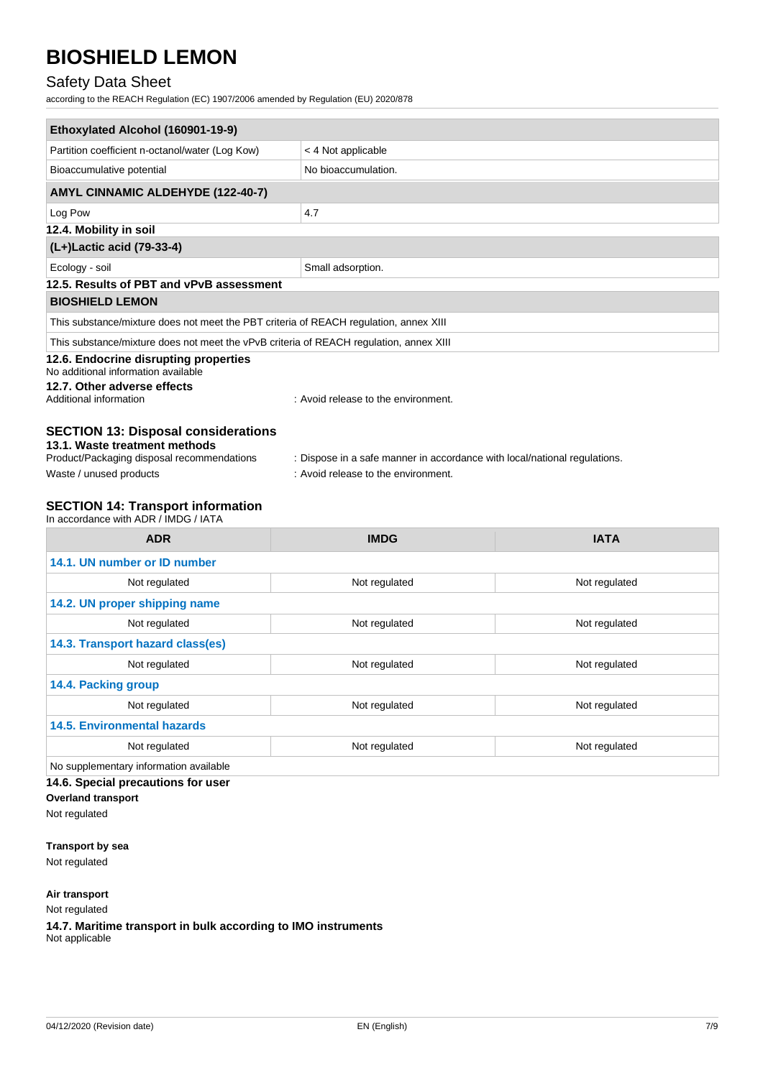# Safety Data Sheet

according to the REACH Regulation (EC) 1907/2006 amended by Regulation (EU) 2020/878

| Ethoxylated Alcohol (160901-19-9)                                                      |                                                                           |  |  |
|----------------------------------------------------------------------------------------|---------------------------------------------------------------------------|--|--|
| Partition coefficient n-octanol/water (Log Kow)                                        | < 4 Not applicable                                                        |  |  |
| Bioaccumulative potential                                                              | No bioaccumulation.                                                       |  |  |
| <b>AMYL CINNAMIC ALDEHYDE (122-40-7)</b>                                               |                                                                           |  |  |
| Log Pow                                                                                | 4.7                                                                       |  |  |
| 12.4. Mobility in soil                                                                 |                                                                           |  |  |
| (L+)Lactic acid (79-33-4)                                                              |                                                                           |  |  |
| Ecology - soil                                                                         | Small adsorption.                                                         |  |  |
| 12.5. Results of PBT and vPvB assessment                                               |                                                                           |  |  |
| <b>BIOSHIELD LEMON</b>                                                                 |                                                                           |  |  |
| This substance/mixture does not meet the PBT criteria of REACH regulation, annex XIII  |                                                                           |  |  |
| This substance/mixture does not meet the vPvB criteria of REACH regulation, annex XIII |                                                                           |  |  |
| 12.6. Endocrine disrupting properties<br>No additional information available           |                                                                           |  |  |
| 12.7. Other adverse effects<br>Additional information                                  | : Avoid release to the environment.                                       |  |  |
| <b>SECTION 13: Disposal considerations</b>                                             |                                                                           |  |  |
| 13.1. Waste treatment methods<br>Product/Packaging disposal recommendations            | : Dispose in a safe manner in accordance with local/national regulations. |  |  |
| Waste / unused products                                                                | : Avoid release to the environment.                                       |  |  |

## **SECTION 14: Transport information**

In accordance with ADR / IMDG / IATA

| <b>ADR</b>                             | <b>IMDG</b>   | <b>IATA</b>   |  |
|----------------------------------------|---------------|---------------|--|
| 14.1. UN number or ID number           |               |               |  |
| Not regulated                          | Not regulated | Not regulated |  |
| 14.2. UN proper shipping name          |               |               |  |
| Not regulated                          | Not regulated | Not regulated |  |
| 14.3. Transport hazard class(es)       |               |               |  |
| Not regulated                          | Not regulated | Not regulated |  |
| 14.4. Packing group                    |               |               |  |
| Not regulated                          | Not regulated | Not regulated |  |
| <b>14.5. Environmental hazards</b>     |               |               |  |
| Not regulated                          | Not regulated | Not regulated |  |
| No supplementary information available |               |               |  |

**14.6. Special precautions for user**

## **Overland transport**

Not regulated

**Transport by sea**

Not regulated

**Air transport**

Not regulated

**14.7. Maritime transport in bulk according to IMO instruments** Not applicable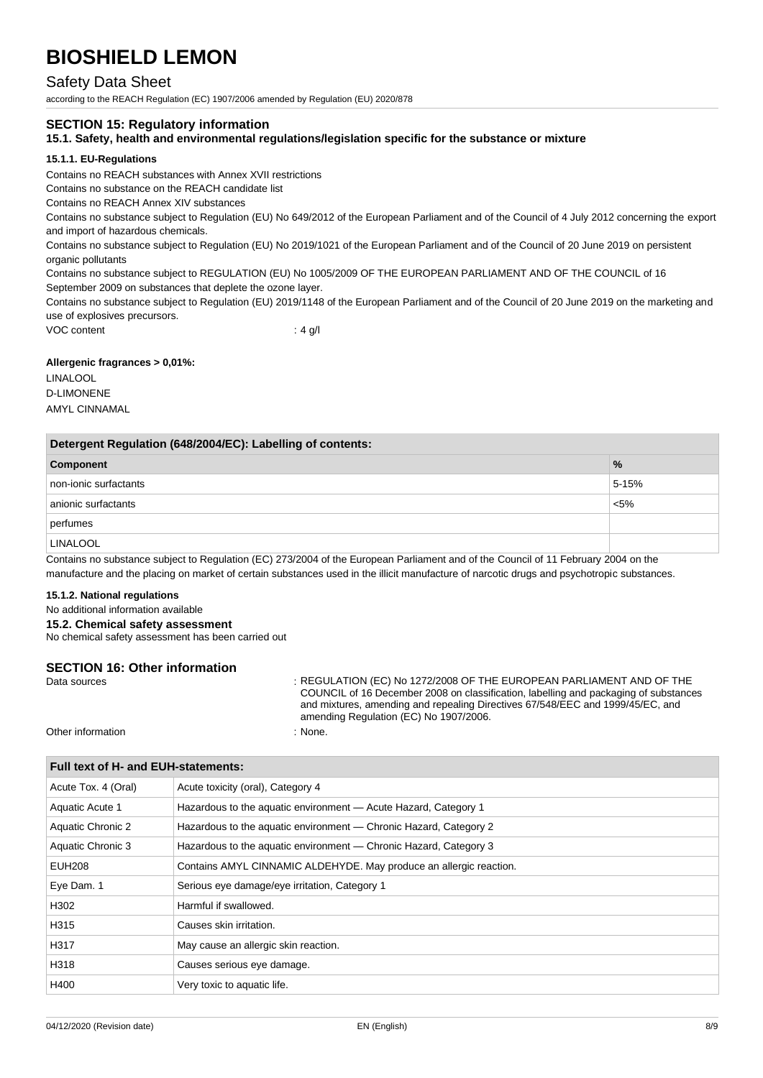## Safety Data Sheet

according to the REACH Regulation (EC) 1907/2006 amended by Regulation (EU) 2020/878

### **SECTION 15: Regulatory information**

### **15.1. Safety, health and environmental regulations/legislation specific for the substance or mixture**

### **15.1.1. EU-Regulations**

Contains no REACH substances with Annex XVII restrictions

Contains no substance on the REACH candidate list

Contains no REACH Annex XIV substances

Contains no substance subject to Regulation (EU) No 649/2012 of the European Parliament and of the Council of 4 July 2012 concerning the export and import of hazardous chemicals.

Contains no substance subject to Regulation (EU) No 2019/1021 of the European Parliament and of the Council of 20 June 2019 on persistent organic pollutants

Contains no substance subject to REGULATION (EU) No 1005/2009 OF THE EUROPEAN PARLIAMENT AND OF THE COUNCIL of 16 September 2009 on substances that deplete the ozone layer.

Contains no substance subject to Regulation (EU) 2019/1148 of the European Parliament and of the Council of 20 June 2019 on the marketing and use of explosives precursors.

VOC content : 4 g/l

### **Allergenic fragrances > 0,01%:**

LINALOOL D-LIMONENE AMYL CINNAMAL

| Detergent Regulation (648/2004/EC): Labelling of contents: |               |  |
|------------------------------------------------------------|---------------|--|
| Component                                                  | $\frac{9}{6}$ |  |
| non-ionic surfactants                                      | $5 - 15%$     |  |
| anionic surfactants                                        | $< 5\%$       |  |
| perfumes                                                   |               |  |
| <b>LINALOOL</b>                                            |               |  |

Contains no substance subject to Regulation (EC) 273/2004 of the European Parliament and of the Council of 11 February 2004 on the manufacture and the placing on market of certain substances used in the illicit manufacture of narcotic drugs and psychotropic substances.

#### **15.1.2. National regulations**

No additional information available

**15.2. Chemical safety assessment**

No chemical safety assessment has been carried out

# **SECTION 16: Other information**<br>Data sources

: REGULATION (EC) No 1272/2008 OF THE EUROPEAN PARLIAMENT AND OF THE COUNCIL of 16 December 2008 on classification, labelling and packaging of substances and mixtures, amending and repealing Directives 67/548/EEC and 1999/45/EC, and amending Regulation (EC) No 1907/2006.

Other information : None.

| Full text of H- and EUH-statements: |                                                                    |
|-------------------------------------|--------------------------------------------------------------------|
| Acute Tox. 4 (Oral)                 | Acute toxicity (oral), Category 4                                  |
| Aquatic Acute 1                     | Hazardous to the aquatic environment - Acute Hazard, Category 1    |
| Aquatic Chronic 2                   | Hazardous to the aquatic environment — Chronic Hazard, Category 2  |
| Aquatic Chronic 3                   | Hazardous to the aquatic environment — Chronic Hazard, Category 3  |
| EUH208                              | Contains AMYL CINNAMIC ALDEHYDE. May produce an allergic reaction. |
| Eye Dam. 1                          | Serious eye damage/eye irritation, Category 1                      |
| H302                                | Harmful if swallowed.                                              |
| H315                                | Causes skin irritation.                                            |
| H317                                | May cause an allergic skin reaction.                               |
| H318                                | Causes serious eye damage.                                         |
| H400                                | Very toxic to aquatic life.                                        |